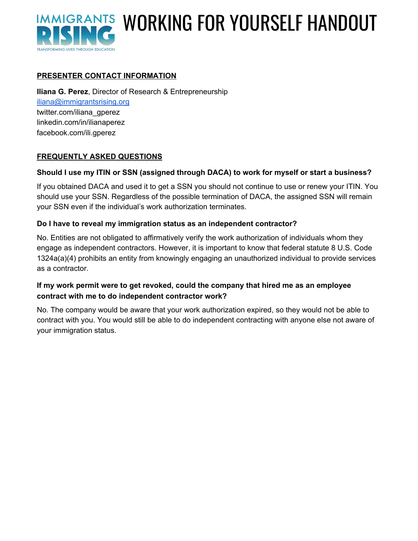

# IMMIGRANTS WORKING FOR YOURSELF HANDOUT

# **PRESENTER CONTACT INFORMATION**

**Iliana G. Perez**, Director of Research & Entrepreneurship [iliana@immigrantsrising.org](mailto:iliana@immigrantsrising.org) twitter.com/iliana\_gperez linkedin.com/in/ilianaperez facebook.com/ili.gperez

#### **FREQUENTLY ASKED QUESTIONS**

#### **Should I use my ITIN or SSN (assigned through DACA) to work for myself or start a business?**

If you obtained DACA and used it to get a SSN you should not continue to use or renew your ITIN. You should use your SSN. Regardless of the possible termination of DACA, the assigned SSN will remain your SSN even if the individual's work authorization terminates.

#### **Do I have to reveal my immigration status as an independent contractor?**

No. Entities are not obligated to affirmatively verify the work authorization of individuals whom they engage as independent contractors. However, it is important to know that federal statute 8 U.S. Code 1324a(a)(4) prohibits an entity from knowingly engaging an unauthorized individual to provide services as a contractor.

#### **If my work permit were to get revoked, could the company that hired me as an employee contract with me to do independent contractor work?**

No. The company would be aware that your work authorization expired, so they would not be able to contract with you. You would still be able to do independent contracting with anyone else not aware of your immigration status.